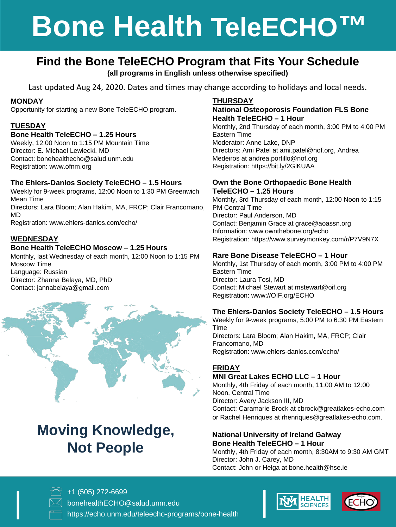# **Bone Health TeleECHO™**

### **Find the Bone TeleECHO Program that Fits Your Schedule**

#### **(all programs in English unless otherwise specified)**

Last updated Aug 24, 2020. Dates and times may change according to holidays and local needs.

#### **MONDAY**

Opportunity for starting a new Bone TeleECHO program.

#### **TUESDAY**

#### **Bone Health TeleECHO – 1.25 Hours**

Weekly, 12:00 Noon to 1:15 PM Mountain Time Director: E. Michael Lewiecki, MD Contact: bonehealthecho@salud.unm.edu Registration: www.ofnm.org

#### **The Ehlers-Danlos Society TeleECHO – 1.5 Hours**

Weekly for 9-week programs, 12:00 Noon to 1:30 PM Greenwich Mean Time Directors: Lara Bloom; Alan Hakim, MA, FRCP; Clair Francomano, MD Registration: www.ehlers-danlos.com/echo/

#### **WEDNESDAY**

#### **Bone Health TeleECHO Moscow – 1.25 Hours**

Monthly, last Wednesday of each month, 12:00 Noon to 1:15 PM Moscow Time Language: Russian Director: Zhanna Belaya, MD, PhD Contact: jannabelaya@gmail.com



## **Moving Knowledge, Not People**

#### **THURSDAY**

#### **National Osteoporosis Foundation FLS Bone Health TeleECHO – 1 Hour**

Monthly, 2nd Thursday of each month, 3:00 PM to 4:00 PM Eastern Time Moderator: Anne Lake, DNP Directors: Ami Patel at ami.patel@nof.org, Andrea Medeiros at andrea.portillo@nof.org Registration: https://bit.ly/2GlKUAA

#### **Own the Bone Orthopaedic Bone Health TeleECHO – 1.25 Hours**

Monthly, 3rd Thursday of each month, 12:00 Noon to 1:15 PM Central Time Director: Paul Anderson, MD Contact: Benjamin Grace at grace@aoassn.org Information: www.ownthebone.org/echo Registration: https://www.surveymonkey.com/r/P7V9N7X

#### **Rare Bone Disease TeleECHO – 1 Hour**

Monthly, 1st Thursday of each month, 3:00 PM to 4:00 PM Eastern Time Director: Laura Tosi, MD Contact: Michael Stewart at mstewart@oif.org Registration: www://OIF.org/ECHO

#### **The Ehlers-Danlos Society TeleECHO – 1.5 Hours**

Weekly for 9-week programs, 5:00 PM to 6:30 PM Eastern Time Directors: Lara Bloom; Alan Hakim, MA, FRCP; Clair Francomano, MD Registration: www.ehlers-danlos.com/echo/

#### **FRIDAY**

#### **MNI Great Lakes ECHO LLC – 1 Hour**

Monthly, 4th Friday of each month, 11:00 AM to 12:00 Noon, Central Time Director: Avery Jackson III, MD Contact: Caramarie Brock at cbrock@greatlakes-echo.com or Rachel Henriques at rhenriques@greatlakes-echo.com.

#### **National University of Ireland Galway Bone Health TeleECHO – 1 Hour**

Monthly, 4th Friday of each month, 8:30AM to 9:30 AM GMT Director: John J. Carey, MD Contact: John or Helga at bone.health@hse.ie